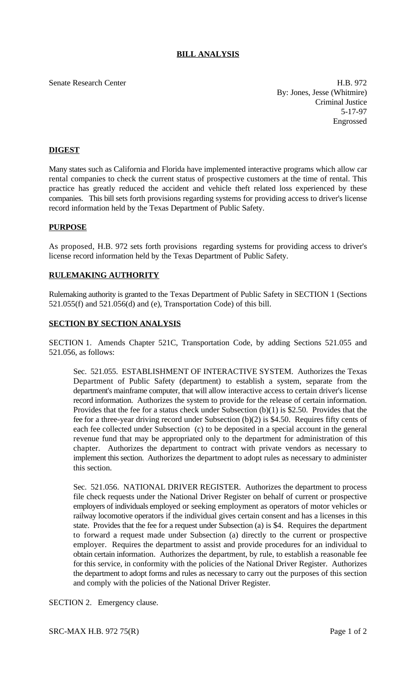# **BILL ANALYSIS**

Senate Research Center **H.B. 972** By: Jones, Jesse (Whitmire) Criminal Justice 5-17-97 Engrossed

## **DIGEST**

Many states such as California and Florida have implemented interactive programs which allow car rental companies to check the current status of prospective customers at the time of rental. This practice has greatly reduced the accident and vehicle theft related loss experienced by these companies. This bill sets forth provisions regarding systems for providing access to driver's license record information held by the Texas Department of Public Safety.

## **PURPOSE**

As proposed, H.B. 972 sets forth provisions regarding systems for providing access to driver's license record information held by the Texas Department of Public Safety.

### **RULEMAKING AUTHORITY**

Rulemaking authority is granted to the Texas Department of Public Safety in SECTION 1 (Sections 521.055(f) and 521.056(d) and (e), Transportation Code) of this bill.

#### **SECTION BY SECTION ANALYSIS**

SECTION 1. Amends Chapter 521C, Transportation Code, by adding Sections 521.055 and 521.056, as follows:

Sec. 521.055. ESTABLISHMENT OF INTERACTIVE SYSTEM. Authorizes the Texas Department of Public Safety (department) to establish a system, separate from the department's mainframe computer, that will allow interactive access to certain driver's license record information. Authorizes the system to provide for the release of certain information. Provides that the fee for a status check under Subsection (b)(1) is \$2.50. Provides that the fee for a three-year driving record under Subsection (b)(2) is \$4.50. Requires fifty cents of each fee collected under Subsection (c) to be deposited in a special account in the general revenue fund that may be appropriated only to the department for administration of this chapter. Authorizes the department to contract with private vendors as necessary to implement this section. Authorizes the department to adopt rules as necessary to administer this section.

Sec. 521.056. NATIONAL DRIVER REGISTER. Authorizes the department to process file check requests under the National Driver Register on behalf of current or prospective employers of individuals employed or seeking employment as operators of motor vehicles or railway locomotive operators if the individual gives certain consent and has a licenses in this state. Provides that the fee for a request under Subsection (a) is \$4. Requires the department to forward a request made under Subsection (a) directly to the current or prospective employer. Requires the department to assist and provide procedures for an individual to obtain certain information. Authorizes the department, by rule, to establish a reasonable fee for this service, in conformity with the policies of the National Driver Register. Authorizes the department to adopt forms and rules as necessary to carry out the purposes of this section and comply with the policies of the National Driver Register.

SECTION 2. Emergency clause.

SRC-MAX H.B. 972 75(R) Page 1 of 2